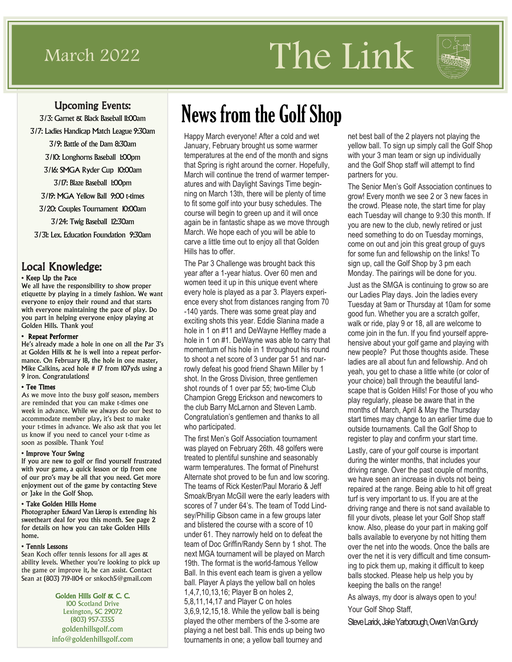# March 2022 The Link



#### Upcoming Events:

3/3: Garnet & Black Baseball 11:00am 3/7: Ladies Handicap Match League 9:30am 3/9: Battle of the Dam 8:30am 3/10: Longhorns Baseball 1:00pm 3/16: SMGA Ryder Cup 10:00am 3/17: Blaze Baseball 1:00pm 3/19: MGA Yellow Ball 9:00 t-times 3/20: Couples Tournament 10:00am

3/24: Twig Baseball 12:30am

3/31: Lex. Education Foundation 9:30am

### Local Knowledge:

#### • Keep Up the Pace

We all have the responsibility to show proper etiquette by playing in a timely fashion. We want everyone to enjoy their round and that starts with everyone maintaining the pace of play. Do you part in helping everyone enjoy playing at Golden Hills. Thank you!

#### • Repeat Performer

He's already made a hole in one on all the Par 3's at Golden Hills & he is well into a repeat performance. On February 18, the hole in one master, Mike Calkins, aced hole # 17 from 107yds using a 9 iron. Congratulations!

#### • Tee Times

As we move into the busy golf season, members are reminded that you can make t-times one week in advance. While we always do our best to accommodate member play, it's best to make your t-times in advance. We also ask that you let us know if you need to cancel your t-time as soon as possible. Thank You!

#### • Improve Your Swing

If you are new to golf or find yourself frustrated with your game, a quick lesson or tip from one of our pro's may be all that you need. Get more enjoyment out of the game by contacting Steve or Jake in the Golf Shop.

#### • Take Golden Hills Home

Photographer Edward Van Lierop is extending his sweetheart deal for you this month. See page 2 for details on how you can take Golden Hills home.

#### • Tennis Lessons

Sean Koch offer tennis lessons for all ages & ability levels. Whether you're looking to pick up the game or improve it, he can assist. Contact Sean at (803) 719-1104 or snkoch5@gmail.com

> Golden Hills Golf & C. C. 100 Scotland Drive Lexington, SC 29072 (803) 957-3355 goldenhillsgolf.com info@goldenhillsgolf.com

# News from the Golf Shop

Happy March everyone! After a cold and wet January, February brought us some warmer temperatures at the end of the month and signs that Spring is right around the corner. Hopefully, March will continue the trend of warmer temperatures and with Daylight Savings Time beginning on March 13th, there will be plenty of time to fit some golf into your busy schedules. The course will begin to green up and it will once again be in fantastic shape as we move through March. We hope each of you will be able to carve a little time out to enjoy all that Golden Hills has to offer.

The Par 3 Challenge was brought back this year after a 1-year hiatus. Over 60 men and women teed it up in this unique event where every hole is played as a par 3. Players experience every shot from distances ranging from 70 -140 yards. There was some great play and exciting shots this year. Eddie Slanina made a hole in 1 on #11 and DeWayne Heffley made a hole in 1 on #1. DeWayne was able to carry that momentum of his hole in 1 throughout his round to shoot a net score of 3 under par 51 and narrowly defeat his good friend Shawn Miller by 1 shot. In the Gross Division, three gentlemen shot rounds of 1 over par 55; two-time Club Champion Gregg Erickson and newcomers to the club Barry McLarnon and Steven Lamb. Congratulation's gentlemen and thanks to all who participated.

The first Men's Golf Association tournament was played on February 26th. 48 golfers were treated to plentiful sunshine and seasonably warm temperatures. The format of Pinehurst Alternate shot proved to be fun and low scoring. The teams of Rick Kester/Paul Morario & Jeff Smoak/Bryan McGill were the early leaders with scores of 7 under 64's. The team of Todd Lindsey/Phillip Gibson came in a few groups later and blistered the course with a score of 10 under 61. They narrowly held on to defeat the team of Doc Griffin/Randy Senn by 1 shot. The next MGA tournament will be played on March 19th. The format is the world-famous Yellow Ball. In this event each team is given a yellow ball. Player A plays the yellow ball on holes 1,4,7,10,13,16; Player B on holes 2, 5,8,11,14,17 and Player C on holes 3,6,9,12,15,18. While the yellow ball is being played the other members of the 3-some are playing a net best ball. This ends up being two tournaments in one; a yellow ball tourney and

net best ball of the 2 players not playing the yellow ball. To sign up simply call the Golf Shop with your 3 man team or sign up individually and the Golf Shop staff will attempt to find partners for you.

The Senior Men's Golf Association continues to grow! Every month we see 2 or 3 new faces in the crowd. Please note, the start time for play each Tuesday will change to 9:30 this month. If you are new to the club, newly retired or just need something to do on Tuesday mornings, come on out and join this great group of guys for some fun and fellowship on the links! To sign up, call the Golf Shop by 3 pm each Monday. The pairings will be done for you. Just as the SMGA is continuing to grow so are our Ladies Play days. Join the ladies every Tuesday at 9am or Thursday at 10am for some good fun. Whether you are a scratch golfer, walk or ride, play 9 or 18, all are welcome to come join in the fun. If you find yourself apprehensive about your golf game and playing with new people? Put those thoughts aside. These ladies are all about fun and fellowship. And oh yeah, you get to chase a little white (or color of your choice) ball through the beautiful landscape that is Golden Hills! For those of you who play regularly, please be aware that in the months of March, April & May the Thursday start times may change to an earlier time due to outside tournaments. Call the Golf Shop to register to play and confirm your start time.

Lastly, care of your golf course is important during the winter months, that includes your driving range. Over the past couple of months, we have seen an increase in divots not being repaired at the range. Being able to hit off great turf is very important to us. If you are at the driving range and there is not sand available to fill your divots, please let your Golf Shop staff know. Also, please do your part in making golf balls available to everyone by not hitting them over the net into the woods. Once the balls are over the net it is very difficult and time consuming to pick them up, making it difficult to keep balls stocked. Please help us help you by keeping the balls on the range!

As always, my door is always open to you! Your Golf Shop Staff,

Steve Larick, Jake Yarborough, Owen Van Gundy